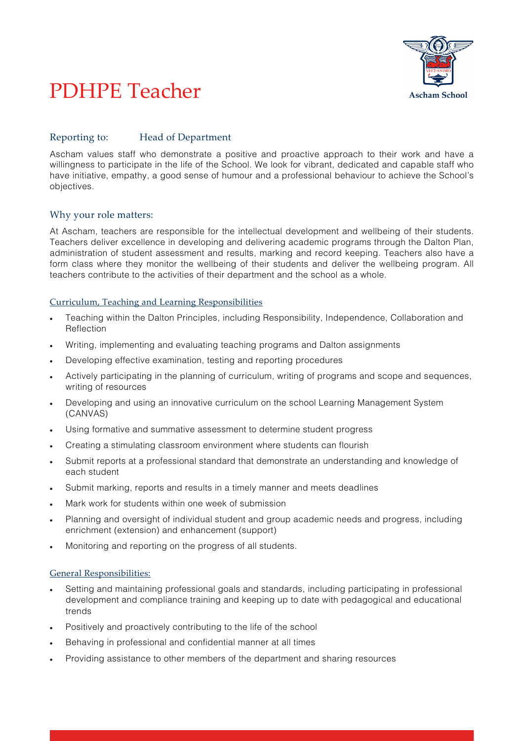

# PDHPE Teacher

## Reporting to: Head of Department

Ascham values staff who demonstrate a positive and proactive approach to their work and have a willingness to participate in the life of the School. We look for vibrant, dedicated and capable staff who have initiative, empathy, a good sense of humour and a professional behaviour to achieve the School's objectives.

## Why your role matters:

At Ascham, teachers are responsible for the intellectual development and wellbeing of their students. Teachers deliver excellence in developing and delivering academic programs through the Dalton Plan, administration of student assessment and results, marking and record keeping. Teachers also have a form class where they monitor the wellbeing of their students and deliver the wellbeing program. All teachers contribute to the activities of their department and the school as a whole.

#### Curriculum, Teaching and Learning Responsibilities

- Teaching within the Dalton Principles, including Responsibility, Independence, Collaboration and Reflection
- Writing, implementing and evaluating teaching programs and Dalton assignments
- Developing effective examination, testing and reporting procedures
- Actively participating in the planning of curriculum, writing of programs and scope and sequences, writing of resources
- Developing and using an innovative curriculum on the school Learning Management System (CANVAS)
- Using formative and summative assessment to determine student progress
- Creating a stimulating classroom environment where students can flourish
- Submit reports at a professional standard that demonstrate an understanding and knowledge of each student
- Submit marking, reports and results in a timely manner and meets deadlines
- Mark work for students within one week of submission
- Planning and oversight of individual student and group academic needs and progress, including enrichment (extension) and enhancement (support)
- Monitoring and reporting on the progress of all students.

#### General Responsibilities:

- Setting and maintaining professional goals and standards, including participating in professional development and compliance training and keeping up to date with pedagogical and educational trends
- Positively and proactively contributing to the life of the school
- Behaving in professional and confidential manner at all times
- Providing assistance to other members of the department and sharing resources